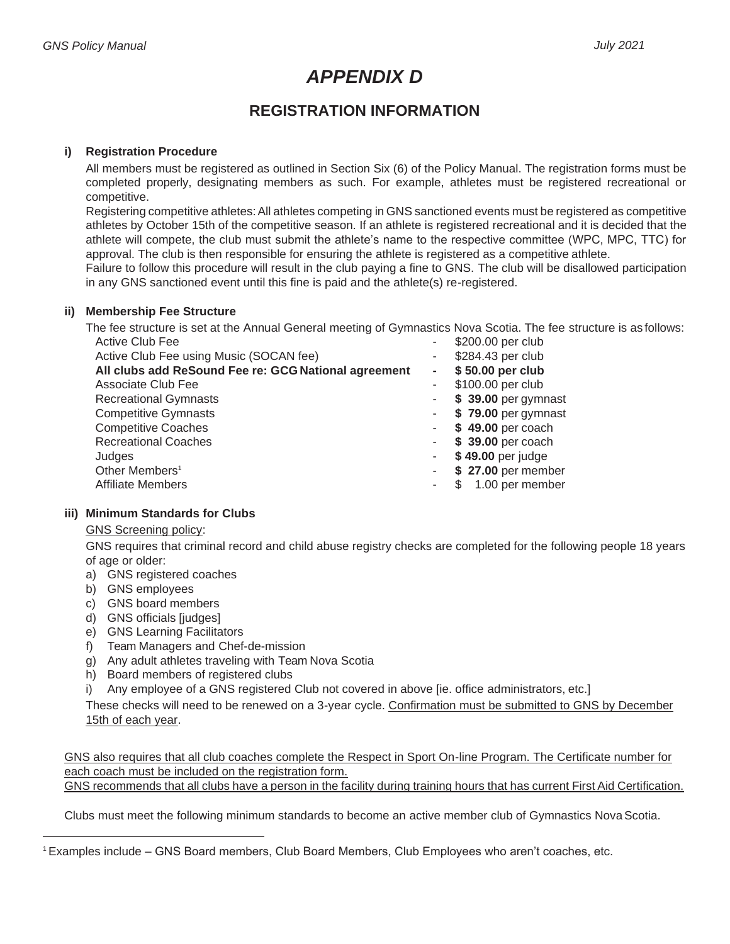# *APPENDIX D*

# **REGISTRATION INFORMATION**

### **i) Registration Procedure**

All members must be registered as outlined in Section Six (6) of the Policy Manual. The registration forms must be completed properly, designating members as such. For example, athletes must be registered recreational or competitive.

Registering competitive athletes: All athletes competing in GNS sanctioned events must be registered as competitive athletes by October 15th of the competitive season. If an athlete is registered recreational and it is decided that the athlete will compete, the club must submit the athlete's name to the respective committee (WPC, MPC, TTC) for approval. The club is then responsible for ensuring the athlete is registered as a competitive athlete.

Failure to follow this procedure will result in the club paying a fine to GNS. The club will be disallowed participation in any GNS sanctioned event until this fine is paid and the athlete(s) re-registered.

#### **ii) Membership Fee Structure**

The fee structure is set at the Annual General meeting of Gymnastics Nova Scotia. The fee structure is as follows:<br>Active Club Fee  $$200.00$  per club

| UNING OIUD I GC                                      |        | <b>VLUU.UU PUL UIUU</b> |
|------------------------------------------------------|--------|-------------------------|
| Active Club Fee using Music (SOCAN fee)              |        | \$284.43 per club       |
| All clubs add ReSound Fee re: GCG National agreement | $\sim$ | \$50.00 per club        |
| Associate Club Fee                                   |        | \$100.00 per club       |
| <b>Recreational Gymnasts</b>                         |        | \$ 39.00 per gymnast    |
| <b>Competitive Gymnasts</b>                          |        | \$79.00 per gymnast     |
| <b>Competitive Coaches</b>                           |        | \$49.00 per coach       |
| <b>Recreational Coaches</b>                          |        | \$ 39.00 per coach      |
| Judges                                               |        | \$49.00 per judge       |
| Other Members <sup>1</sup>                           |        | \$27.00 per member      |
| <b>Affiliate Members</b>                             |        | \$ 1.00 per member      |

#### **iii) Minimum Standards for Clubs**

#### GNS Screening policy:

GNS requires that criminal record and child abuse registry checks are completed for the following people 18 years of age or older:

- a) GNS registered coaches
- b) GNS employees
- c) GNS board members
- d) GNS officials [judges]
- e) GNS Learning Facilitators
- f) Team Managers and Chef-de-mission
- g) Any adult athletes traveling with Team Nova Scotia
- h) Board members of registered clubs
- i) Any employee of a GNS registered Club not covered in above [ie. office administrators, etc.]

These checks will need to be renewed on a 3-year cycle. Confirmation must be submitted to GNS by December 15th of each year.

GNS also requires that all club coaches complete the Respect in Sport On-line Program. The Certificate number for each coach must be included on the registration form.

GNS recommends that all clubs have a person in the facility during training hours that has current First Aid Certification.

Clubs must meet the following minimum standards to become an active member club of Gymnastics Nova Scotia.

<sup>1</sup>Examples include – GNS Board members, Club Board Members, Club Employees who aren't coaches, etc.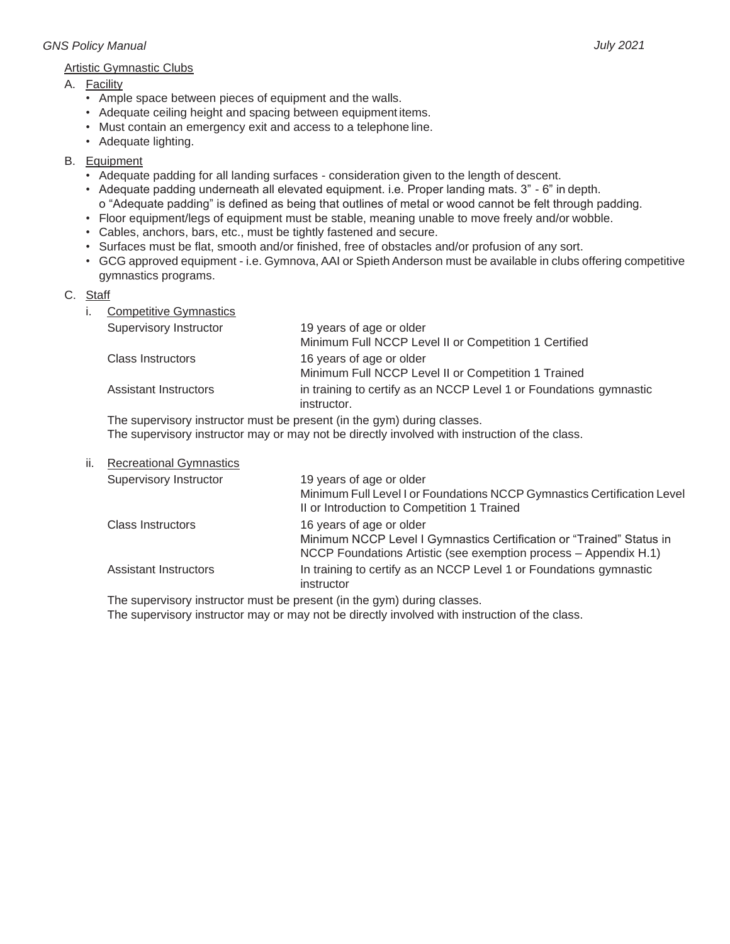# *GNS Policy Manual July 2021*

### Artistic Gymnastic Clubs

#### A. Facility

- Ample space between pieces of equipment and the walls.
- Adequate ceiling height and spacing between equipment items.
- Must contain an emergency exit and access to a telephone line.
- Adequate lighting.

# B. Equipment

- Adequate padding for all landing surfaces consideration given to the length of descent.
- Adequate padding underneath all elevated equipment. i.e. Proper landing mats. 3" 6" in depth. o "Adequate padding" is defined as being that outlines of metal or wood cannot be felt through padding.
- Floor equipment/legs of equipment must be stable, meaning unable to move freely and/or wobble.
- Cables, anchors, bars, etc., must be tightly fastened and secure.
- Surfaces must be flat, smooth and/or finished, free of obstacles and/or profusion of any sort.
- GCG approved equipment i.e. Gymnova, AAI or Spieth Anderson must be available in clubs offering competitive gymnastics programs.

# C. Staff

i. Competitive Gymnastics

| Supervisory Instructor       | 19 years of age or older<br>Minimum Full NCCP Level II or Competition 1 Certified |
|------------------------------|-----------------------------------------------------------------------------------|
| <b>Class Instructors</b>     | 16 years of age or older<br>Minimum Full NCCP Level II or Competition 1 Trained   |
| <b>Assistant Instructors</b> | in training to certify as an NCCP Level 1 or Foundations gymnastic<br>instructor. |
|                              |                                                                                   |

The supervisory instructor must be present (in the gym) during classes. The supervisory instructor may or may not be directly involved with instruction of the class.

| ii. | <b>Recreational Gymnastics</b> |                                                                                                                        |
|-----|--------------------------------|------------------------------------------------------------------------------------------------------------------------|
|     | <b>Supervisory Instructor</b>  | 19 years of age or older                                                                                               |
|     |                                | Minimum Full Level I or Foundations NCCP Gymnastics Certification Level<br>Il or Introduction to Competition 1 Trained |
|     | Class Instructors              | 16 years of age or older                                                                                               |
|     |                                | Minimum NCCP Level I Gymnastics Certification or "Trained" Status in                                                   |
|     |                                | NCCP Foundations Artistic (see exemption process - Appendix H.1)                                                       |
|     | <b>Assistant Instructors</b>   | In training to certify as an NCCP Level 1 or Foundations gymnastic                                                     |
|     |                                | instructor                                                                                                             |

The supervisory instructor must be present (in the gym) during classes.

The supervisory instructor may or may not be directly involved with instruction of the class.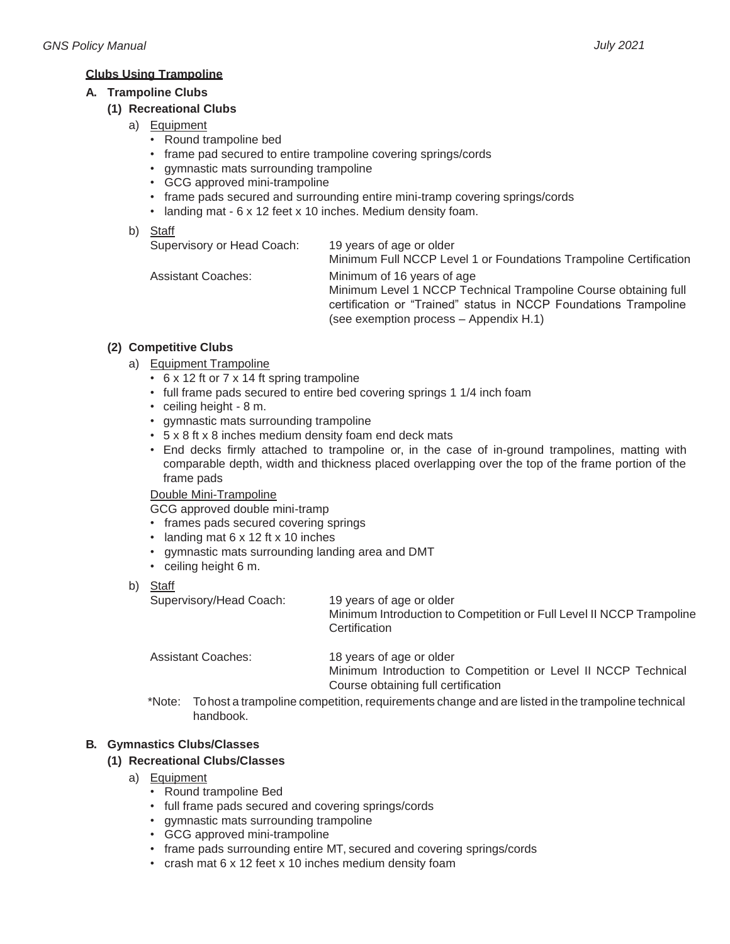#### **Clubs Using Trampoline**

#### **A. Trampoline Clubs**

### **(1) Recreational Clubs**

- a) Equipment
	- Round trampoline bed
	- frame pad secured to entire trampoline covering springs/cords
	- gymnastic mats surrounding trampoline
	- GCG approved mini-trampoline
	- frame pads secured and surrounding entire mini-tramp covering springs/cords
	- landing mat 6 x 12 feet x 10 inches. Medium density foam.
- b) Staff

| Supervisory or Head Coach: | 19 years of age or older<br>Minimum Full NCCP Level 1 or Foundations Trampoline Certification |
|----------------------------|-----------------------------------------------------------------------------------------------|
| <b>Assistant Coaches:</b>  |                                                                                               |
|                            | Minimum of 16 years of age                                                                    |
|                            | Minimum Level 1 NCCP Technical Trampoline Course obtaining full                               |
|                            | certification or "Trained" status in NCCP Foundations Trampoline                              |
|                            | (see exemption process – Appendix H.1)                                                        |

# **(2) Competitive Clubs**

- a) Equipment Trampoline
	- 6 x 12 ft or 7 x 14 ft spring trampoline
	- full frame pads secured to entire bed covering springs 1 1/4 inch foam
	- ceiling height 8 m.
	- gymnastic mats surrounding trampoline
	- 5 x 8 ft x 8 inches medium density foam end deck mats
	- End decks firmly attached to trampoline or, in the case of in-ground trampolines, matting with comparable depth, width and thickness placed overlapping over the top of the frame portion of the frame pads

#### Double Mini-Trampoline

GCG approved double mini-tramp

- frames pads secured covering springs
- landing mat 6 x 12 ft x 10 inches
- gymnastic mats surrounding landing area and DMT
- ceiling height 6 m.
- b) Staff

Supervisory/Head Coach: 19 years of age or older

Minimum Introduction to Competition or Full Level II NCCP Trampoline **Certification** 

Assistant Coaches: 18 years of age or older Minimum Introduction to Competition or Level II NCCP Technical Course obtaining full certification

\*Note: Tohost a trampoline competition, requirements change and are listed in the trampoline technical handbook.

# **B. Gymnastics Clubs/Classes**

# **(1) Recreational Clubs/Classes**

- a) Equipment
	- Round trampoline Bed
	- full frame pads secured and covering springs/cords
	- gymnastic mats surrounding trampoline
	- GCG approved mini-trampoline
	- frame pads surrounding entire MT, secured and covering springs/cords
	- crash mat 6 x 12 feet x 10 inches medium density foam